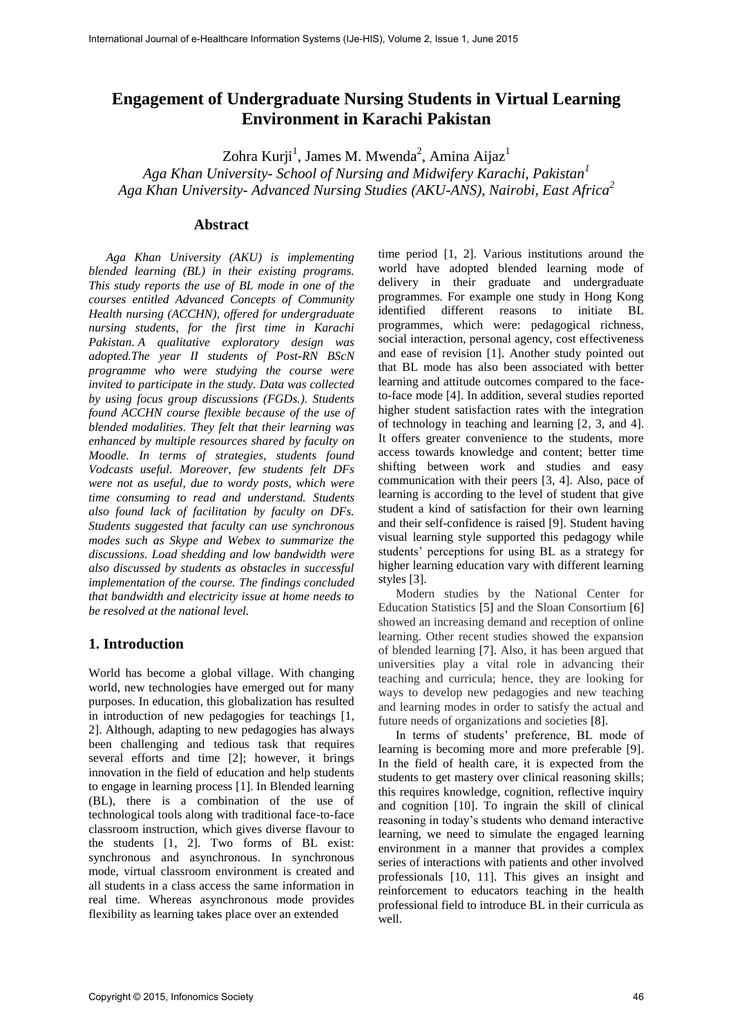# **Engagement of Undergraduate Nursing Students in Virtual Learning Environment in Karachi Pakistan**

Zohra Kurji<sup>1</sup>, James M. Mwenda<sup>2</sup>, Amina Aijaz<sup>1</sup>

*Aga Khan University- School of Nursing and Midwifery Karachi, Pakistan<sup>1</sup> Aga Khan University- Advanced Nursing Studies (AKU-ANS), Nairobi, East Africa<sup>2</sup>*

#### **Abstract**

*Aga Khan University (AKU) is implementing blended learning (BL) in their existing programs. This study reports the use of BL mode in one of the courses entitled Advanced Concepts of Community Health nursing (ACCHN), offered for undergraduate nursing students, for the first time in Karachi Pakistan. A qualitative exploratory design was adopted.The year II students of Post-RN BScN programme who were studying the course were invited to participate in the study. Data was collected by using focus group discussions (FGDs.). Students found ACCHN course flexible because of the use of blended modalities. They felt that their learning was enhanced by multiple resources shared by faculty on Moodle. In terms of strategies, students found Vodcasts useful. Moreover, few students felt DFs were not as useful, due to wordy posts, which were time consuming to read and understand. Students also found lack of facilitation by faculty on DFs. Students suggested that faculty can use synchronous modes such as Skype and Webex to summarize the discussions. Load shedding and low bandwidth were also discussed by students as obstacles in successful implementation of the course. The findings concluded that bandwidth and electricity issue at home needs to be resolved at the national level.* 

## **1. Introduction**

World has become a global village. With changing world, new technologies have emerged out for many purposes. In education, this globalization has resulted in introduction of new pedagogies for teachings [1, 2]. Although, adapting to new pedagogies has always been challenging and tedious task that requires several efforts and time [2]; however, it brings innovation in the field of education and help students to engage in learning process [1]. In Blended learning (BL), there is a combination of the use of technological tools along with traditional face-to-face classroom instruction, which gives diverse flavour to the students [1, 2]. Two forms of BL exist: synchronous and asynchronous. In synchronous mode, virtual classroom environment is created and all students in a class access the same information in real time. Whereas asynchronous mode provides flexibility as learning takes place over an extended

time period [1, 2]. Various institutions around the world have adopted blended learning mode of delivery in their graduate and undergraduate programmes. For example one study in Hong Kong identified different reasons to initiate BL programmes, which were: pedagogical richness, social interaction, personal agency, cost effectiveness and ease of revision [1]. Another study pointed out that BL mode has also been associated with better learning and attitude outcomes compared to the faceto-face mode [4]. In addition, several studies reported higher student satisfaction rates with the integration of technology in teaching and learning [2, 3, and 4]. It offers greater convenience to the students, more access towards knowledge and content; better time shifting between work and studies and easy communication with their peers [3, 4]. Also, pace of learning is according to the level of student that give student a kind of satisfaction for their own learning and their self-confidence is raised [9]. Student having visual learning style supported this pedagogy while students' perceptions for using BL as a strategy for higher learning education vary with different learning styles [3].

Modern studies by the National Center for Education Statistics [5] and the Sloan Consortium [6] showed an increasing demand and reception of online learning. Other recent studies showed the expansion of blended learning [7]. Also, it has been argued that universities play a vital role in advancing their teaching and curricula; hence, they are looking for ways to develop new pedagogies and new teaching and learning modes in order to satisfy the actual and future needs of organizations and societies [8].

In terms of students' preference, BL mode of learning is becoming more and more preferable [9]. In the field of health care, it is expected from the students to get mastery over clinical reasoning skills; this requires knowledge, cognition, reflective inquiry and cognition [10]. To ingrain the skill of clinical reasoning in today's students who demand interactive learning, we need to simulate the engaged learning environment in a manner that provides a complex series of interactions with patients and other involved professionals [10, 11]. This gives an insight and reinforcement to educators teaching in the health professional field to introduce BL in their curricula as well.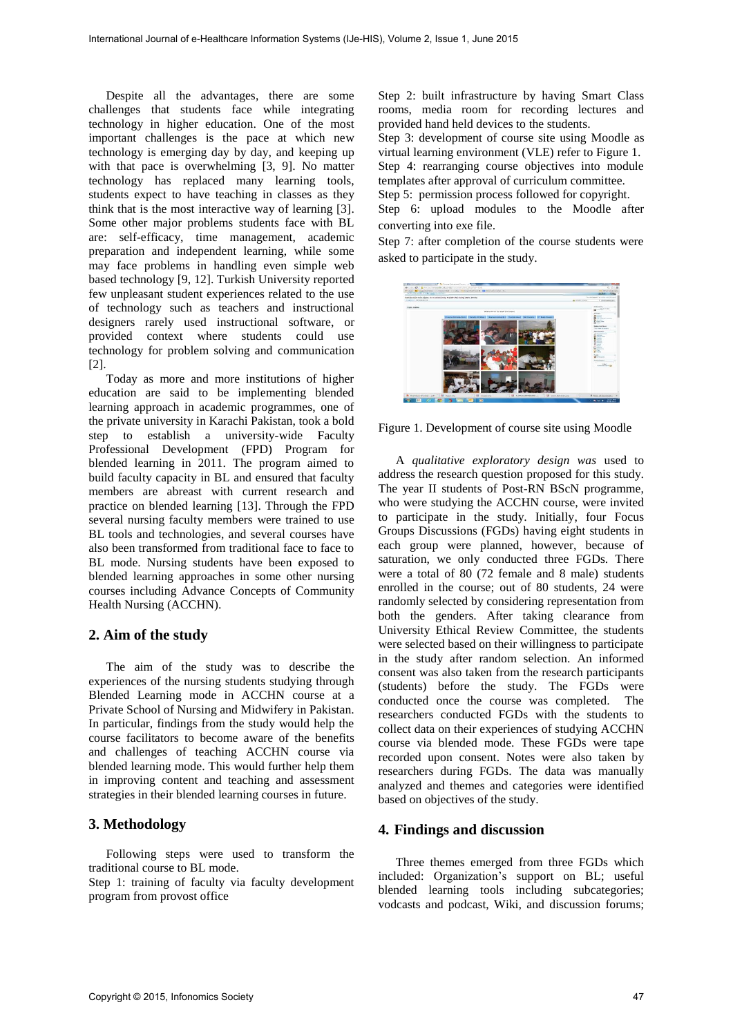Despite all the advantages, there are some challenges that students face while integrating technology in higher education. One of the most important challenges is the pace at which new technology is emerging day by day, and keeping up with that pace is overwhelming [3, 9]. No matter technology has replaced many learning tools, students expect to have teaching in classes as they think that is the most interactive way of learning [3]. Some other major problems students face with BL are: self-efficacy, time management, academic preparation and independent learning, while some may face problems in handling even simple web based technology [9, 12]. Turkish University reported few unpleasant student experiences related to the use of technology such as teachers and instructional designers rarely used instructional software, or provided context where students could use technology for problem solving and communication [2].

Today as more and more institutions of higher education are said to be implementing blended learning approach in academic programmes, one of the private university in Karachi Pakistan, took a bold step to establish a university-wide Faculty Professional Development (FPD) Program for blended learning in 2011. The program aimed to build faculty capacity in BL and ensured that faculty members are abreast with current research and practice on blended learning [13]. Through the FPD several nursing faculty members were trained to use BL tools and technologies, and several courses have also been transformed from traditional face to face to BL mode. Nursing students have been exposed to blended learning approaches in some other nursing courses including Advance Concepts of Community Health Nursing (ACCHN).

# **2. Aim of the study**

The aim of the study was to describe the experiences of the nursing students studying through Blended Learning mode in ACCHN course at a Private School of Nursing and Midwifery in Pakistan. In particular, findings from the study would help the course facilitators to become aware of the benefits and challenges of teaching ACCHN course via blended learning mode. This would further help them in improving content and teaching and assessment strategies in their blended learning courses in future.

# **3. Methodology**

Following steps were used to transform the traditional course to BL mode.

Step 1: training of faculty via faculty development program from provost office

Step 2: built infrastructure by having Smart Class rooms, media room for recording lectures and provided hand held devices to the students. Step 3: development of course site using Moodle as virtual learning environment (VLE) refer to Figure 1. Step 4: rearranging course objectives into module templates after approval of curriculum committee. Step 5: permission process followed for copyright. Step 6: upload modules to the Moodle after converting into exe file.

Step 7: after completion of the course students were asked to participate in the study.



Figure 1. Development of course site using Moodle

A *qualitative exploratory design was* used to address the research question proposed for this study. The year II students of Post-RN BScN programme, who were studying the ACCHN course, were invited to participate in the study. Initially, four Focus Groups Discussions (FGDs) having eight students in each group were planned, however, because of saturation, we only conducted three FGDs. There were a total of 80 (72 female and 8 male) students enrolled in the course; out of 80 students, 24 were randomly selected by considering representation from both the genders. After taking clearance from University Ethical Review Committee, the students were selected based on their willingness to participate in the study after random selection. An informed consent was also taken from the research participants (students) before the study. The FGDs were conducted once the course was completed. The researchers conducted FGDs with the students to collect data on their experiences of studying ACCHN course via blended mode. These FGDs were tape recorded upon consent. Notes were also taken by researchers during FGDs. The data was manually analyzed and themes and categories were identified based on objectives of the study.

# **4. Findings and discussion**

Three themes emerged from three FGDs which included: Organization's support on BL; useful blended learning tools including subcategories; vodcasts and podcast, Wiki, and discussion forums;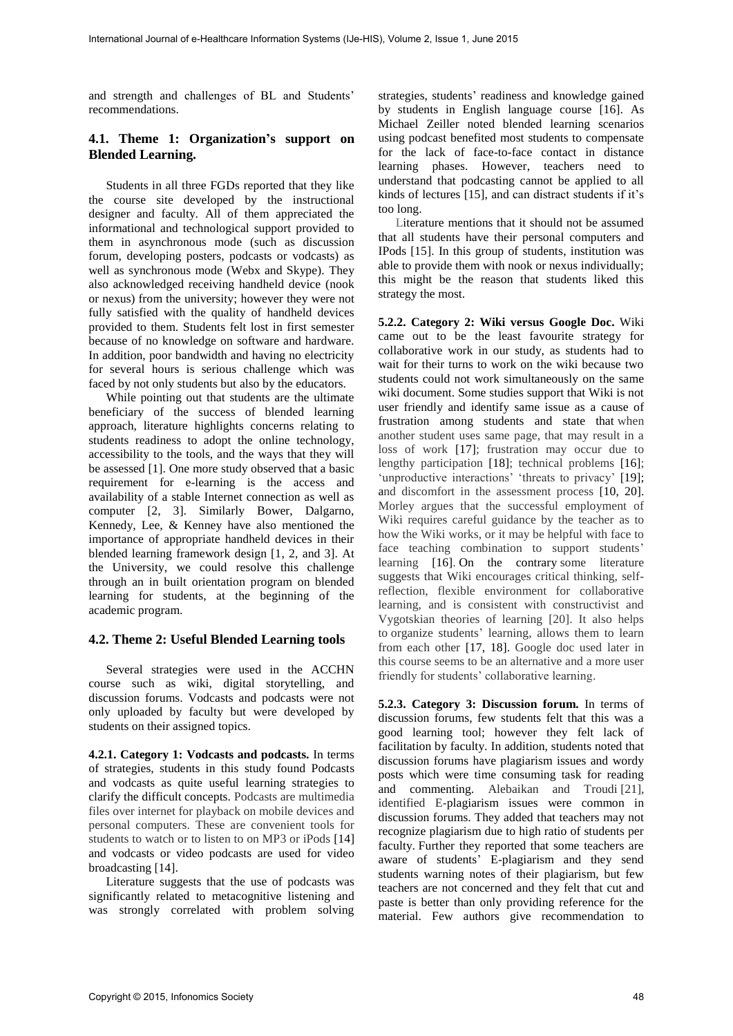and strength and challenges of BL and Students' recommendations.

## **4.1. Theme 1: Organization's support on Blended Learning.**

Students in all three FGDs reported that they like the course site developed by the instructional designer and faculty. All of them appreciated the informational and technological support provided to them in asynchronous mode (such as discussion forum, developing posters, podcasts or vodcasts) as well as synchronous mode (Webx and Skype). They also acknowledged receiving handheld device (nook or nexus) from the university; however they were not fully satisfied with the quality of handheld devices provided to them. Students felt lost in first semester because of no knowledge on software and hardware. In addition, poor bandwidth and having no electricity for several hours is serious challenge which was faced by not only students but also by the educators.

While pointing out that students are the ultimate beneficiary of the success of blended learning approach, literature highlights concerns relating to students readiness to adopt the online technology, accessibility to the tools, and the ways that they will be assessed [1]. One more study observed that a basic requirement for e-learning is the access and availability of a stable Internet connection as well as computer [2, 3]. Similarly Bower, Dalgarno, Kennedy, Lee, & Kenney have also mentioned the importance of appropriate handheld devices in their blended learning framework design [1, 2, and 3]. At the University, we could resolve this challenge through an in built orientation program on blended learning for students, at the beginning of the academic program.

#### **4.2. Theme 2: Useful Blended Learning tools**

Several strategies were used in the ACCHN course such as wiki, digital storytelling, and discussion forums. Vodcasts and podcasts were not only uploaded by faculty but were developed by students on their assigned topics.

**4.2.1. Category 1: Vodcasts and podcasts.** In terms of strategies, students in this study found Podcasts and vodcasts as quite useful learning strategies to clarify the difficult concepts. Podcasts are multimedia files over internet for playback on mobile devices and personal computers. These are convenient tools for students to watch or to listen to on MP3 or iPods [14] and vodcasts or video podcasts are used for video broadcasting [14].

Literature suggests that the use of podcasts was significantly related to metacognitive listening and was strongly correlated with problem solving

strategies, students' readiness and knowledge gained by students in English language course [16]. As Michael Zeiller noted blended learning scenarios using podcast benefited most students to compensate for the lack of face-to-face contact in distance learning phases. However, teachers need to understand that podcasting cannot be applied to all kinds of lectures [15], and can distract students if it's too long.

Literature mentions that it should not be assumed that all students have their personal computers and IPods [15]. In this group of students, institution was able to provide them with nook or nexus individually; this might be the reason that students liked this strategy the most.

**5.2.2. Category 2: Wiki versus Google Doc.** Wiki came out to be the least favourite strategy for collaborative work in our study, as students had to wait for their turns to work on the wiki because two students could not work simultaneously on the same wiki document. Some studies support that Wiki is not user friendly and identify same issue as a cause of frustration among students and state that when another student uses same page, that may result in a loss of work [17]; frustration may occur due to lengthy participation [18]; technical problems [16]; 'unproductive interactions' 'threats to privacy' [19]; and discomfort in the assessment process [10, 20]. Morley argues that the successful employment of Wiki requires careful guidance by the teacher as to how the Wiki works, or it may be helpful with face to face teaching combination to support students' learning [16]. On the contrary some literature suggests that Wiki encourages critical thinking, selfreflection, flexible environment for collaborative learning, and is consistent with constructivist and Vygotskian theories of learning [20]. It also helps to organize students' learning, allows them to learn from each other [17, 18]. Google doc used later in this course seems to be an alternative and a more user friendly for students' collaborative learning.

**5.2.3. Category 3: Discussion forum.** In terms of discussion forums, few students felt that this was a good learning tool; however they felt lack of facilitation by faculty. In addition, students noted that discussion forums have plagiarism issues and wordy posts which were time consuming task for reading and commenting. Alebaikan and Troudi [21], identified E-plagiarism issues were common in discussion forums. They added that teachers may not recognize plagiarism due to high ratio of students per faculty. Further they reported that some teachers are aware of students' E-plagiarism and they send students warning notes of their plagiarism, but few teachers are not concerned and they felt that cut and paste is better than only providing reference for the material. Few authors give recommendation to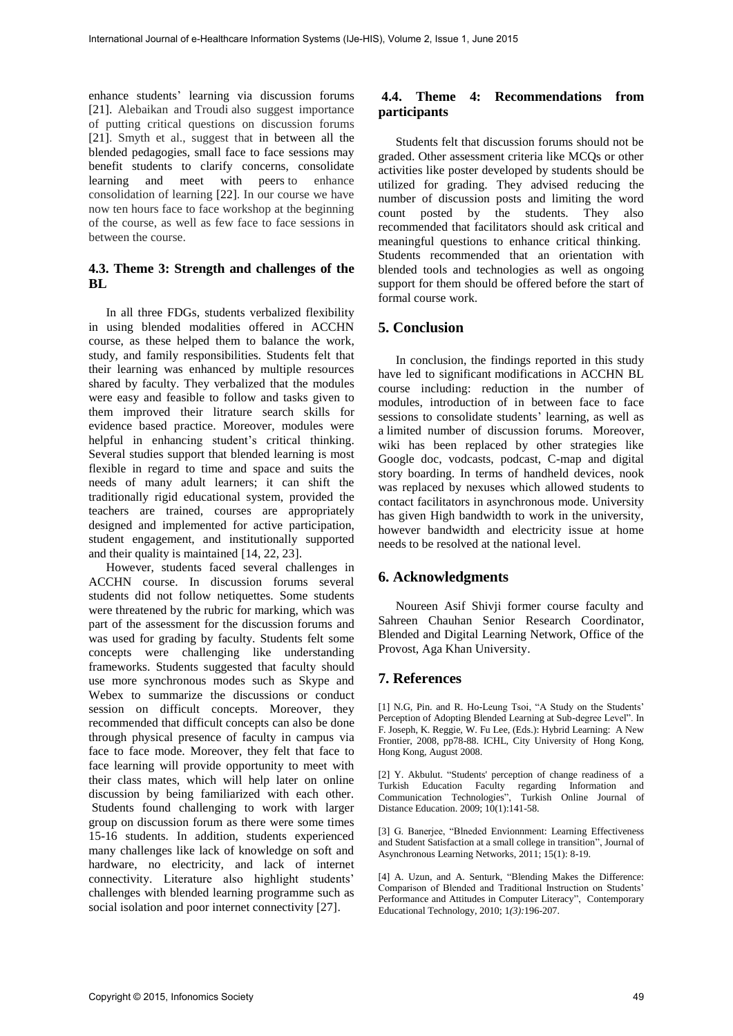enhance students' learning via discussion forums [21]. Alebaikan and Troudi also suggest importance of putting critical questions on discussion forums [21]. Smyth et al., suggest that in between all the blended pedagogies, small face to face sessions may benefit students to clarify concerns, consolidate learning and meet with peers to enhance consolidation of learning [22]. In our course we have now ten hours face to face workshop at the beginning of the course, as well as few face to face sessions in between the course.

#### **4.3. Theme 3: Strength and challenges of the BL**

In all three FDGs, students verbalized flexibility in using blended modalities offered in ACCHN course, as these helped them to balance the work, study, and family responsibilities. Students felt that their learning was enhanced by multiple resources shared by faculty. They verbalized that the modules were easy and feasible to follow and tasks given to them improved their litrature search skills for evidence based practice. Moreover, modules were helpful in enhancing student's critical thinking. Several studies support that blended learning is most flexible in regard to time and space and suits the needs of many adult learners; it can shift the traditionally rigid educational system, provided the teachers are trained, courses are appropriately designed and implemented for active participation, student engagement, and institutionally supported and their quality is maintained [14, 22, 23].

However, students faced several challenges in ACCHN course. In discussion forums several students did not follow netiquettes. Some students were threatened by the rubric for marking, which was part of the assessment for the discussion forums and was used for grading by faculty. Students felt some concepts were challenging like understanding frameworks. Students suggested that faculty should use more synchronous modes such as Skype and Webex to summarize the discussions or conduct session on difficult concepts. Moreover, they recommended that difficult concepts can also be done through physical presence of faculty in campus via face to face mode. Moreover, they felt that face to face learning will provide opportunity to meet with their class mates, which will help later on online discussion by being familiarized with each other. Students found challenging to work with larger group on discussion forum as there were some times 15-16 students. In addition, students experienced many challenges like lack of knowledge on soft and hardware, no electricity, and lack of internet connectivity. Literature also highlight students' challenges with blended learning programme such as social isolation and poor internet connectivity [27].

#### **4.4. Theme 4: Recommendations from participants**

Students felt that discussion forums should not be graded. Other assessment criteria like MCQs or other activities like poster developed by students should be utilized for grading. They advised reducing the number of discussion posts and limiting the word count posted by the students. They also recommended that facilitators should ask critical and meaningful questions to enhance critical thinking. Students recommended that an orientation with blended tools and technologies as well as ongoing support for them should be offered before the start of formal course work.

## **5. Conclusion**

In conclusion, the findings reported in this study have led to significant modifications in ACCHN BL course including: reduction in the number of modules, introduction of in between face to face sessions to consolidate students' learning, as well as a limited number of discussion forums. Moreover, wiki has been replaced by other strategies like Google doc, vodcasts, podcast, C-map and digital story boarding. In terms of handheld devices, nook was replaced by nexuses which allowed students to contact facilitators in asynchronous mode. University has given High bandwidth to work in the university, however bandwidth and electricity issue at home needs to be resolved at the national level.

## **6. Acknowledgments**

Noureen Asif Shivji former course faculty and Sahreen Chauhan Senior Research Coordinator, Blended and Digital Learning Network, Office of the Provost, Aga Khan University.

#### **7. References**

[1] N.G, Pin. and R. Ho-Leung Tsoi, "A Study on the Students' Perception of Adopting Blended Learning at Sub-degree Level". In F. Joseph, K. Reggie, W. Fu Lee, (Eds.): Hybrid Learning: A New Frontier, 2008, pp78-88. ICHL, City University of Hong Kong, Hong Kong, August 2008.

[2] Y. Akbulut. "Students' perception of change readiness of a Turkish Education Faculty regarding Information and Communication Technologies", Turkish Online Journal of Distance Education. 2009; 10(1):141-58.

[3] G. Banerjee, "Blneded Envionnment: Learning Effectiveness and Student Satisfaction at a small college in transition", Journal of Asynchronous Learning Networks, 2011; 15(1): 8-19.

[4] A. Uzun, and A. Senturk, "Blending Makes the Difference: Comparison of Blended and Traditional Instruction on Students' Performance and Attitudes in Computer Literacy", Contemporary Educational Technology, 2010; 1*(3):*196-207.